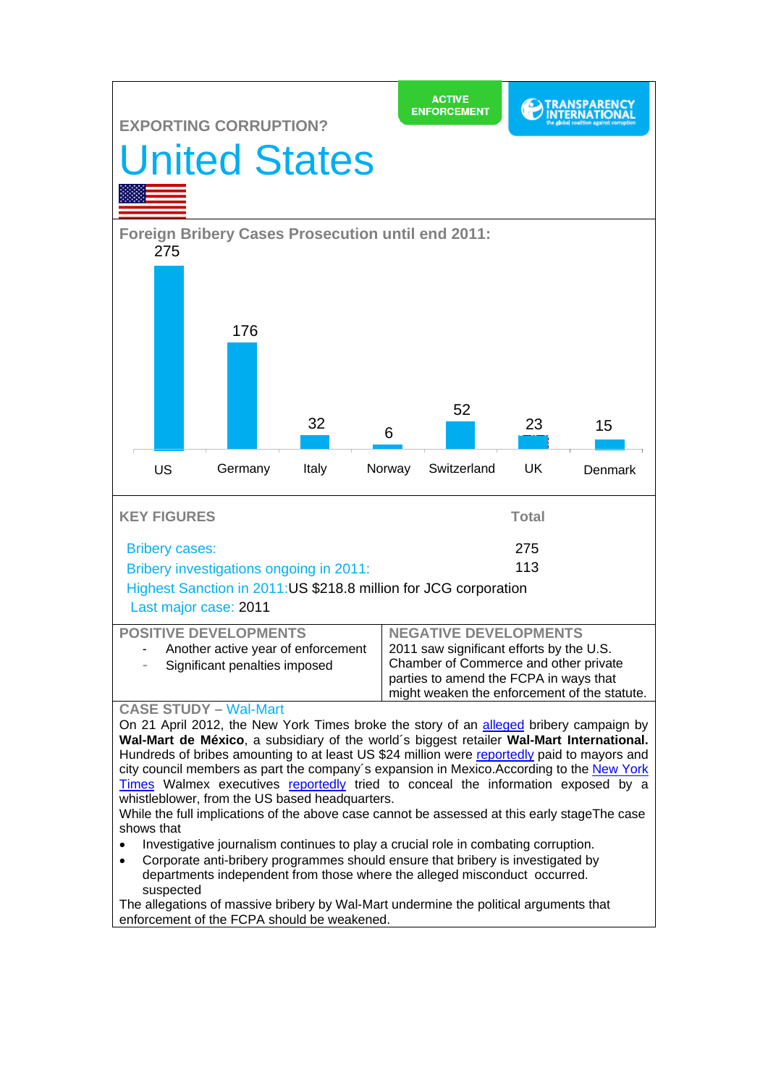